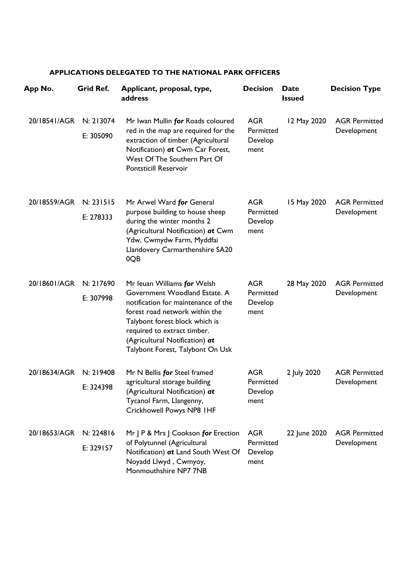## **APPLICATIONS DELEGATED TO THE NATIONAL PARK OFFICERS**

| App No.      | Grid Ref.              | Applicant, proposal, type,<br>address                                                                                                                                                                                                                                        | <b>Decision</b>                            | <b>Date</b><br><b>Issued</b> | <b>Decision Type</b>                |
|--------------|------------------------|------------------------------------------------------------------------------------------------------------------------------------------------------------------------------------------------------------------------------------------------------------------------------|--------------------------------------------|------------------------------|-------------------------------------|
| 20/18541/AGR | N: 213074<br>E: 305090 | Mr Iwan Mullin for Roads coloured<br>red in the map are required for the<br>extraction of timber (Agricultural<br>Notification) at Cwm Car Forest,<br>West Of The Southern Part Of<br><b>Pontsticill Reservoir</b>                                                           | <b>AGR</b><br>Permitted<br>Develop<br>ment | 12 May 2020                  | <b>AGR Permitted</b><br>Development |
| 20/18559/AGR | N: 231515<br>E: 278333 | Mr Arwel Ward for General<br>purpose building to house sheep<br>during the winter months 2<br>(Agricultural Notification) at Cwm<br>Ydw, Cwmydw Farm, Myddfai<br>Llandovery Carmarthenshire SA20<br>0QB                                                                      | <b>AGR</b><br>Permitted<br>Develop<br>ment | 15 May 2020                  | <b>AGR Permitted</b><br>Development |
| 20/18601/AGR | N: 217690<br>E: 307998 | Mr Ieuan Williams for Welsh<br>Government Woodland Estate. A<br>notification for maintenance of the<br>forest road network within the<br>Talybont forest block which is<br>required to extract timber.<br>(Agricultural Notification) at<br>Talybont Forest, Talybont On Usk | <b>AGR</b><br>Permitted<br>Develop<br>ment | 28 May 2020                  | <b>AGR Permitted</b><br>Development |
| 20/18634/AGR | N: 219408<br>E: 324398 | Mr N Bellis for Steel framed<br>agricultural storage building<br>(Agricultural Notification) at<br>Tycanol Farm, Llangenny,<br>Crickhowell Powys NP8 IHF                                                                                                                     | <b>AGR</b><br>Permitted<br>Develop<br>ment | 2 July 2020                  | <b>AGR Permitted</b><br>Development |
| 20/18653/AGR | N: 224816<br>E: 329157 | Mr   P & Mrs   Cookson for Erection<br>of Polytunnel (Agricultural<br>Notification) at Land South West Of<br>Noyadd Llwyd, Cwmyoy,<br>Monmouthshire NP7 7NB                                                                                                                  | <b>AGR</b><br>Permitted<br>Develop<br>ment | 22 June 2020                 | <b>AGR Permitted</b><br>Development |